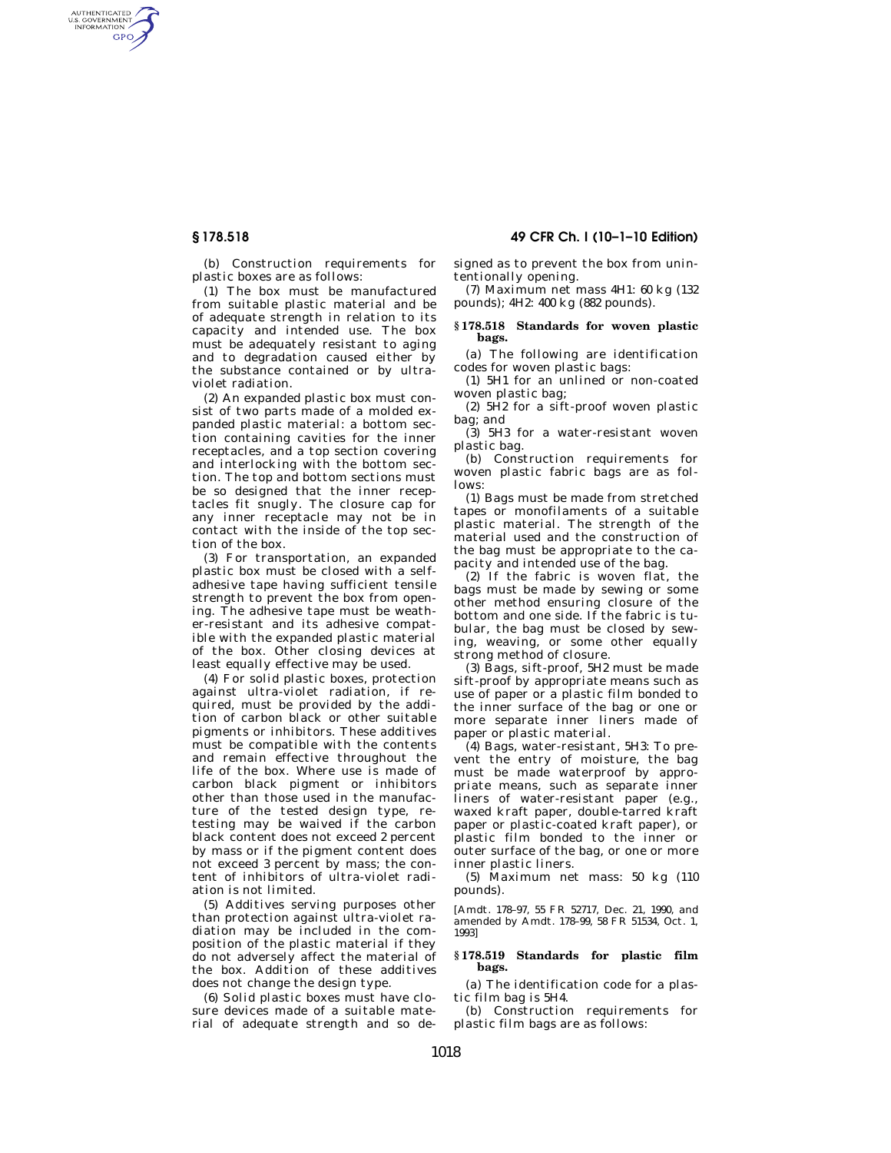AUTHENTICATED<br>U.S. GOVERNMENT<br>INFORMATION GPO

**§ 178.518 49 CFR Ch. I (10–1–10 Edition)** 

(b) Construction requirements for plastic boxes are as follows:

(1) The box must be manufactured from suitable plastic material and be of adequate strength in relation to its capacity and intended use. The box must be adequately resistant to aging and to degradation caused either by the substance contained or by ultraviolet radiation.

(2) An expanded plastic box must consist of two parts made of a molded expanded plastic material: a bottom section containing cavities for the inner receptacles, and a top section covering and interlocking with the bottom section. The top and bottom sections must be so designed that the inner receptacles fit snugly. The closure cap for any inner receptacle may not be in contact with the inside of the top section of the box.

(3) For transportation, an expanded plastic box must be closed with a selfadhesive tape having sufficient tensile strength to prevent the box from opening. The adhesive tape must be weather-resistant and its adhesive compatible with the expanded plastic material of the box. Other closing devices at least equally effective may be used.

(4) For solid plastic boxes, protection against ultra-violet radiation, if required, must be provided by the addition of carbon black or other suitable pigments or inhibitors. These additives must be compatible with the contents and remain effective throughout the life of the box. Where use is made of carbon black pigment or inhibitors other than those used in the manufacture of the tested design type, retesting may be waived if the carbon black content does not exceed 2 percent by mass or if the pigment content does not exceed 3 percent by mass; the content of inhibitors of ultra-violet radiation is not limited.

(5) Additives serving purposes other than protection against ultra-violet radiation may be included in the composition of the plastic material if they do not adversely affect the material of the box. Addition of these additives does not change the design type.

(6) Solid plastic boxes must have closure devices made of a suitable material of adequate strength and so designed as to prevent the box from unintentionally opening.

(7) Maximum net mass 4H1: 60 kg (132 pounds); 4H2: 400 kg (882 pounds).

# **§ 178.518 Standards for woven plastic bags.**

(a) The following are identification codes for woven plastic bags:

(1) 5H1 for an unlined or non-coated woven plastic bag;

(2)  $5\hat{H}2$  for a sift-proof woven plastic bag; and

(3) 5H3 for a water-resistant woven plastic bag.

(b) Construction requirements for woven plastic fabric bags are as follows:

(1) Bags must be made from stretched tapes or monofilaments of a suitable plastic material. The strength of the material used and the construction of the bag must be appropriate to the capacity and intended use of the bag.

(2) If the fabric is woven flat, the bags must be made by sewing or some other method ensuring closure of the bottom and one side. If the fabric is tubular, the bag must be closed by sewing, weaving, or some other equally strong method of closure.

(3) Bags, sift-proof, 5H2 must be made sift-proof by appropriate means such as use of paper or a plastic film bonded to the inner surface of the bag or one or more separate inner liners made of paper or plastic material.

(4) Bags, water-resistant, 5H3: To prevent the entry of moisture, the bag must be made waterproof by appropriate means, such as separate inner liners of water-resistant paper (e.g., waxed kraft paper, double-tarred kraft paper or plastic-coated kraft paper), or plastic film bonded to the inner or outer surface of the bag, or one or more inner plastic liners.

(5) Maximum net mass: 50 kg (110 pounds).

[Amdt. 178–97, 55 FR 52717, Dec. 21, 1990, and amended by Amdt. 178–99, 58 FR 51534, Oct. 1, 1993]

## **§ 178.519 Standards for plastic film bags.**

(a) The identification code for a plastic film bag is 5H4.

(b) Construction requirements for plastic film bags are as follows: